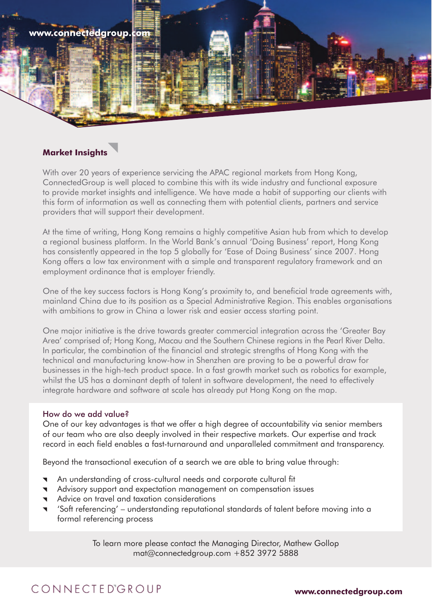

## **Market Insights**

With over 20 years of experience servicing the APAC regional markets from Hong Kong, ConnectedGroup is well placed to combine this with its wide industry and functional exposure to provide market insights and intelligence. We have made a habit of supporting our clients with this form of information as well as connecting them with potential clients, partners and service providers that will support their development.

At the time of writing, Hong Kong remains a highly competitive Asian hub from which to develop a regional business platform. In the World Bank's annual 'Doing Business' report, Hong Kong has consistently appeared in the top 5 globally for 'Ease of Doing Business' since 2007. Hong Kong offers a low tax environment with a simple and transparent regulatory framework and an employment ordinance that is employer friendly.

One of the key success factors is Hong Kong's proximity to, and beneficial trade agreements with, mainland China due to its position as a Special Administrative Region. This enables organisations with ambitions to grow in China a lower risk and easier access starting point.

One major initiative is the drive towards greater commercial integration across the 'Greater Bay Area' comprised of; Hong Kong, Macau and the Southern Chinese regions in the Pearl River Delta. In particular, the combination of the financial and strategic strengths of Hong Kong with the technical and manufacturing know-how in Shenzhen are proving to be a powerful draw for businesses in the high-tech product space. In a fast growth market such as robotics for example, whilst the US has a dominant depth of talent in software development, the need to effectively integrate hardware and software at scale has already put Hong Kong on the map.

#### How do we add value?

One of our key advantages is that we offer a high degree of accountability via senior members of our team who are also deeply involved in their respective markets. Our expertise and track record in each field enables a fast-turnaround and unparalleled commitment and transparency.

Beyond the transactional execution of a search we are able to bring value through:

- An understanding of cross-cultural needs and corporate cultural fit
- Advisory support and expectation management on compensation issues
- Advice on travel and taxation considerations
- 'Soft referencing' understanding reputational standards of talent before moving into a formal referencing process

To learn more please contact the Managing Director, Mathew Gollop mat@connectedgroup.com +852 3972 5888

# CONNECTEDGROUP

**www.connectedgroup.com**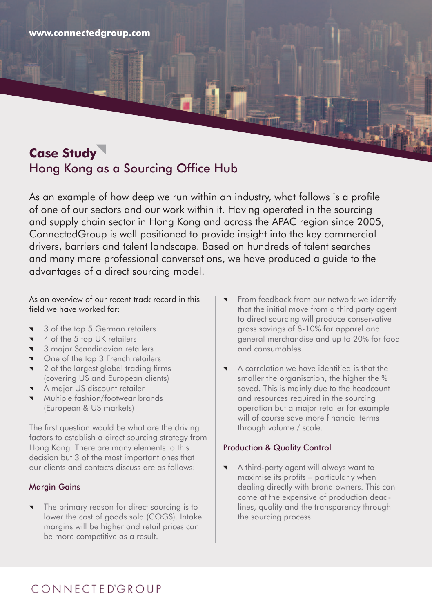**www.connectedgroup.com**

# **Case Study** Hong Kong as a Sourcing Office Hub

As an example of how deep we run within an industry, what follows is a profile of one of our sectors and our work within it. Having operated in the sourcing and supply chain sector in Hong Kong and across the APAC region since 2005, ConnectedGroup is well positioned to provide insight into the key commercial drivers, barriers and talent landscape. Based on hundreds of talent searches and many more professional conversations, we have produced a guide to the advantages of a direct sourcing model.

As an overview of our recent track record in this field we have worked for:

- 3 of the top 5 German retailers  $\blacksquare$
- 4 of the 5 top UK retailers
- **3** major Scandinavian retailers
- **v** One of the top 3 French retailers
- **1** 2 of the largest global trading firms (covering US and European clients)
- A major US discount retailer
- **Wultiple fashion/footwear brands** (European & US markets)

The first question would be what are the driving factors to establish a direct sourcing strategy from Hong Kong. There are many elements to this decision but 3 of the most important ones that our clients and contacts discuss are as follows:

### Margin Gains

The primary reason for direct sourcing is to lower the cost of goods sold (COGS). Intake margins will be higher and retail prices can be more competitive as a result.

- From feedback from our network we identify that the initial move from a third party agent to direct sourcing will produce conservative gross savings of 8-10% for apparel and general merchandise and up to 20% for food and consumables.
- A correlation we have identified is that the smaller the organisation, the higher the % saved. This is mainly due to the headcount and resources required in the sourcing operation but a major retailer for example will of course save more financial terms through volume / scale.

## Production & Quality Control

A third-party agent will always want to maximise its profits – particularly when dealing directly with brand owners. This can come at the expensive of production deadlines, quality and the transparency through the sourcing process.

# CONNECTEDGROUP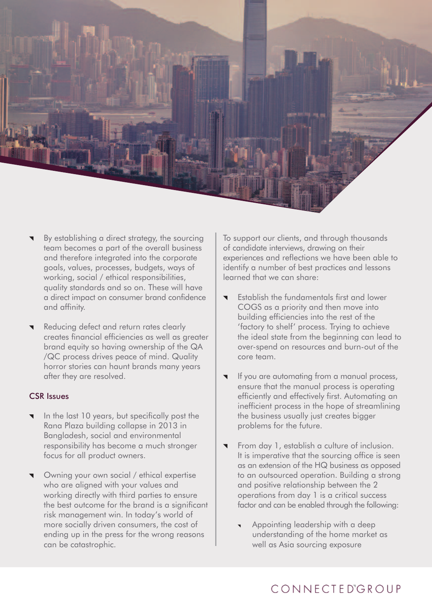

- By establishing a direct strategy, the sourcing team becomes a part of the overall business and therefore integrated into the corporate goals, values, processes, budgets, ways of working, social / ethical responsibilities, quality standards and so on. These will have a direct impact on consumer brand confidence and affinity.
- Reducing defect and return rates clearly creates financial efficiencies as well as greater brand equity so having ownership of the QA /QC process drives peace of mind. Quality horror stories can haunt brands many years after they are resolved.

#### CSR Issues

- In the last 10 years, but specifically post the Rana Plaza building collapse in 2013 in Bangladesh, social and environmental responsibility has become a much stronger focus for all product owners.
- Owning your own social / ethical expertise who are aligned with your values and working directly with third parties to ensure the best outcome for the brand is a significant risk management win. In today's world of more socially driven consumers, the cost of ending up in the press for the wrong reasons can be catastrophic.

To support our clients, and through thousands of candidate interviews, drawing on their experiences and reflections we have been able to identify a number of best practices and lessons learned that we can share:

- Establish the fundamentals first and lower COGS as a priority and then move into building efficiencies into the rest of the 'factory to shelf' process. Trying to achieve the ideal state from the beginning can lead to over-spend on resources and burn-out of the core team.
- If you are automating from a manual process, ensure that the manual process is operating efficiently and effectively first. Automating an inefficient process in the hope of streamlining the business usually just creates bigger problems for the future.
- From day 1, establish a culture of inclusion. It is imperative that the sourcing office is seen as an extension of the HQ business as opposed to an outsourced operation. Building a strong and positive relationship between the 2 operations from day 1 is a critical success factor and can be enabled through the following:
	- Appointing leadership with a deep understanding of the home market as well as Asia sourcing exposure

# CONNECTEDGROUP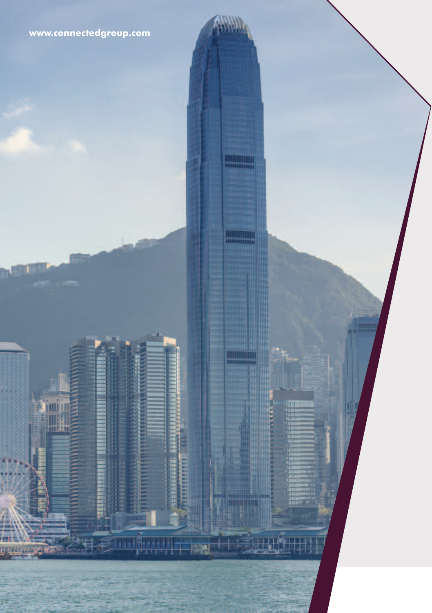

A.W

**TEL** 

8), simona mogogorianiana.

 $-145$ 

**TANK AND I** 

**Marketin** 

TETHE

**THANKING** 

**ANY**